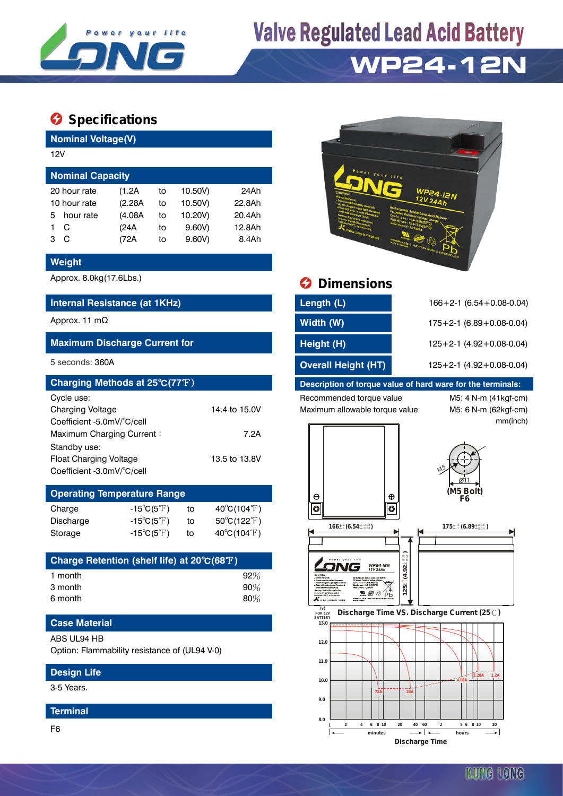

# **Valve Regulated Lead Acid Battery WP24-12N**

## $\bullet$  Specifications

**Nominal Voltage(V)**

| 12V                     |         |    |         |        |  |  |  |  |  |  |
|-------------------------|---------|----|---------|--------|--|--|--|--|--|--|
| <b>Nominal Capacity</b> |         |    |         |        |  |  |  |  |  |  |
| 20 hour rate            | (1.2A   | to | 10.50V) | 24Ah   |  |  |  |  |  |  |
| 10 hour rate            | (2.28A) | to | 10.50V) | 22.8Ah |  |  |  |  |  |  |
| hour rate               | (4.08A) | to | 10.20V) | 20.4Ah |  |  |  |  |  |  |
| С                       | (24A    | to | 9.60V   | 12.8Ah |  |  |  |  |  |  |
| C                       | (72A    | to | 9.60V   | 8.4Ah  |  |  |  |  |  |  |
|                         |         |    |         |        |  |  |  |  |  |  |

#### **Weight**

#### **Internal Resistance (at 1KHz)**

#### **Maximum Discharge Current for**

| Charging Methods at 25°C(77°F) |               |
|--------------------------------|---------------|
| Cycle use:                     |               |
| <b>Charging Voltage</b>        | 14.4 to 15.0V |
| Coefficient -5.0mV/°C/cell     |               |
| Maximum Charging Current:      | 7.2A          |
| Standby use:                   |               |
| <b>Float Charging Voltage</b>  | 13.5 to 13.8V |
| Coefficient -3.0mV/°C/cell     |               |
|                                |               |

| <b>Operating Temperature Range</b> |                            |    |                                  |  |  |  |  |  |
|------------------------------------|----------------------------|----|----------------------------------|--|--|--|--|--|
| Charge                             | $-15^{\circ}C(5^{\circ}F)$ | to | $40^{\circ}$ C(104 $^{\circ}$ F) |  |  |  |  |  |
| Discharge                          | $-15^{\circ}C(5^{\circ}F)$ | to | $50^{\circ}C(122^{\circ}F)$      |  |  |  |  |  |
| Storage                            | $-15^{\circ}C(5^{\circ}F)$ | to | $40^{\circ}C(104^{\circ}F)$      |  |  |  |  |  |

| Charge Retention (shelf life) at 20°C(68°F) |        |
|---------------------------------------------|--------|
| 1 month                                     | 92%    |
| 3 month                                     | $90\%$ |
| 6 month                                     | $80\%$ |

#### **Case Material**

ABS UL94 HB

Option: Flammability resistance of (UL94 V-0)

## **Design Life**

3-5 Years.

#### **Terminal**

F6



# Approx. 8.0kg(17.6Lbs.) **Dimensions**

| Internal Resistance (at 1KHz)        | Length (L)                 | $166 + 2 - 1$ (6.54 + 0.08 - 0.04) |
|--------------------------------------|----------------------------|------------------------------------|
| Approx. 11 mΩ                        | Width (W)                  | $175+2-1$ (6.89 + 0.08 - 0.04)     |
| <b>Maximum Discharge Current for</b> | Height (H)                 | $125+2-1$ (4.92 + 0.08 - 0.04)     |
| 5 seconds: 360A                      | <b>Overall Height (HT)</b> | $125+2-1$ (4.92 + 0.08 - 0.04)     |

#### **Description of torque value of hard ware for the terminals:**

Recommended torque value M5: 4 N-m (41kgf-cm) Maximum allowable torque value M5: 6 N-m (62kgf-cm)

mm(inch)